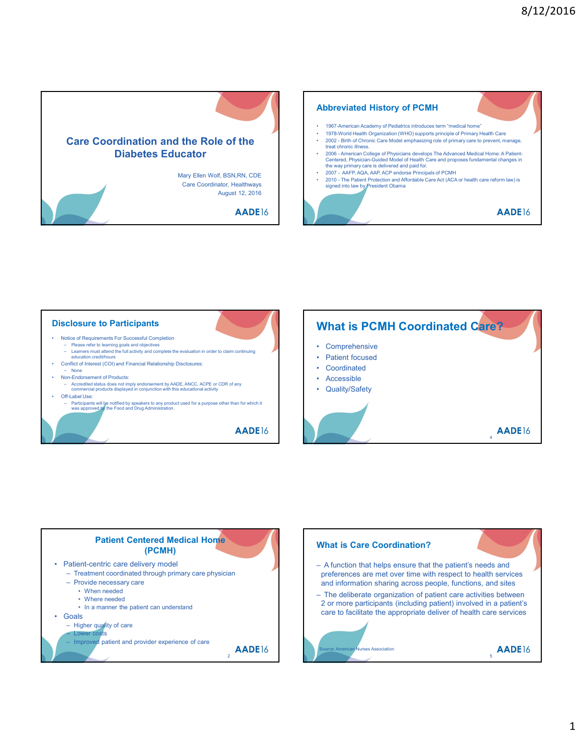





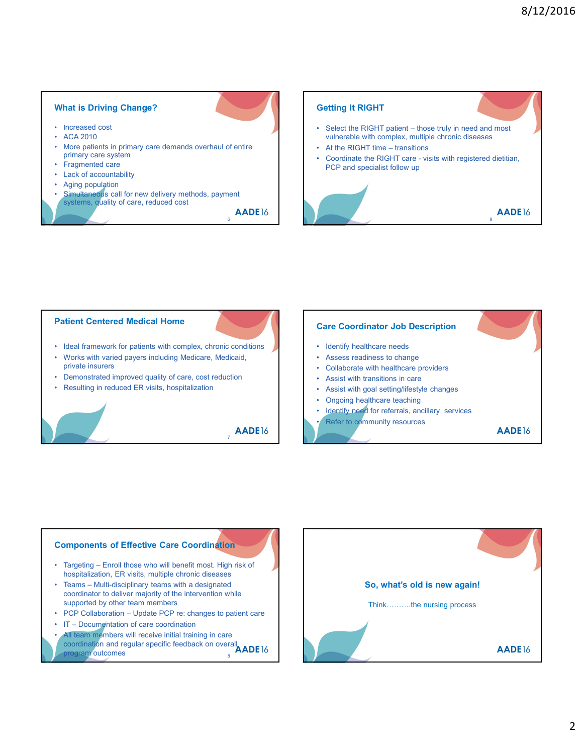#### What is Driving Change?

- 
- 
- 
- 
- 
- 
- Simultaneous call for new delivery methods, payment<br>systems, quality of care, reduced cost

 $_{6}$  AADE16

# What is Driving Change?<br>
• Increased cost<br>
• ACA 2010<br>
• More patients in primary care demands overhaul of entire<br>
• Fragmented care<br>
• Fagmented care<br>
• Aging population<br>
• Aging population What is Driving Change?<br>
• Increased cost<br>
• ACA 2010<br>
• More patients in primary care demands overhaul of entire<br>
• More patients in primary care demands overhaul of entire<br>
• Fragmented care<br>
• Lack of accountability<br>
• What is Driving Change?<br>
• Increased cost<br>
• ACA 2010<br>
• More patients in primary care demands overhaul of entire<br>
primary care system<br>
• Fragmented care<br>
• Lack of accountability<br>
• Aging population<br>
• Simultaneous call f primary care system and the coordinate the RIGHT care - visits with registered dietitian, What is Driving Change?<br>
• Increased cost<br>
• ACA 2010<br>
• More patients in primary care demands overhaul of entire<br>
primary care systems<br>
• Fragmented care<br>
• Lack of accountability<br>
• Simultaneous call for new delivery met What is Driving Change?<br>
• Increased cost<br>
• ACA 2010<br>
• More patients in primary care demands overhaul of entire<br>
• Fragmented care<br>
• Fragment<br>
• Exck of accountability<br>
• Lack of accountability<br>
• Lack of accountability What is Driving Change?<br>
• Increased cost<br>
• AGA 2010<br>
• Munceable with primary care demands overhaul of entire<br>
• Aging population<br>
• Aging population<br>
• Aging population<br>
• Aging population<br>
• Aging population<br>
• Simulta What is Driving Change?<br>
• Increased cost<br>
• AGA 2010<br>
• More patients in primary care demands overhaul of entire<br>
• Fragmented care<br>
• Lack of accountability<br>
• Aging population<br>
• Simultaneous call for new delivery metho Getting It RIGHT <sup>8</sup>/12/2016<br>
• Select the RIGHT<br>
• Select the RIGHT patient – those truly in need and most<br>
• Wilherable with complex, multiple chronic diseases<br>
• At the RIGHT time – transitions<br>
• Coordinate the RIGHT care - visits with vulnerable with complex, multiple chronic diseases 8/12/2016<br>
Getting It RIGHT<br>
• Select the RIGHT patient – those truly in need and most<br>
• At the RIGHT time – transitions<br>
• Coordinate the RIGHT care - visits with registered dietitian,<br>
• PCP and specialist follow up 8/12/2016<br>
• Select the RIGHT<br>
• Select the RIGHT patient – those truly in need and most<br>
• vulnerable with complex, multiple chronic diseases<br>
• At the RIGHT time – transitions<br>
• Coordinate the RIGHT care - visits with r







- 
- 
- coordination and regular specific feedback on overall **ADEM** program outcomes and the set of the set of the set of the set of the set of the set of the set of the set of the set of the set of the set of the set of the set of the set of the set of the set of the set of the set of the

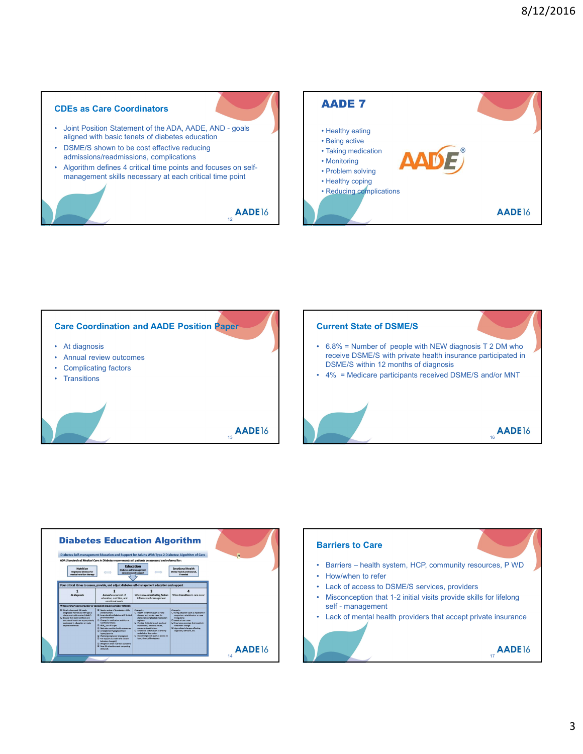### CDEs as Care Coordinators

- aligned with basic tenets of diabetes education
- DSML/S shown to be cost effective reducing and the complication of the control of the control of the control of the control of the control of the control of the control of the control of the control of the control of the c
- Algorithm defines 4 critical time points and focuses on self-<br>
management skills necessary at each critical time point<br>
 Healthy coping<br>
 Healthy coping

12 **AADE**16









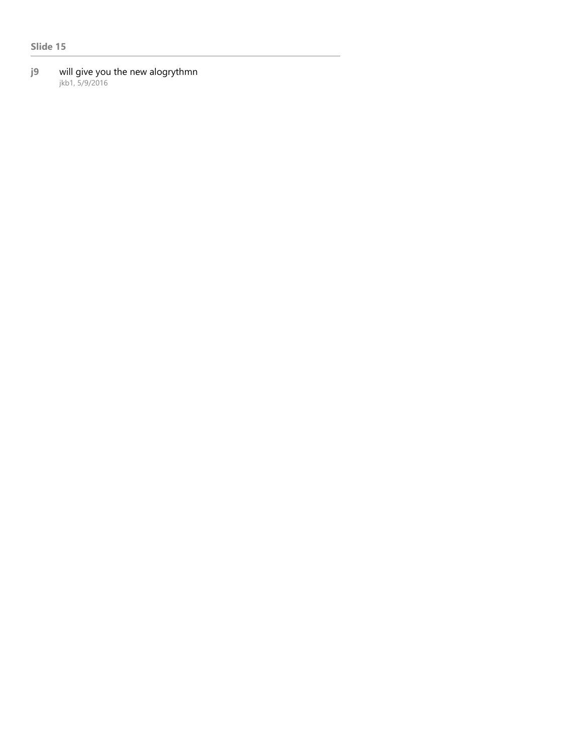## Slide 15

#### j9 will give you the new alogrythmn jkb1, 5/9/2016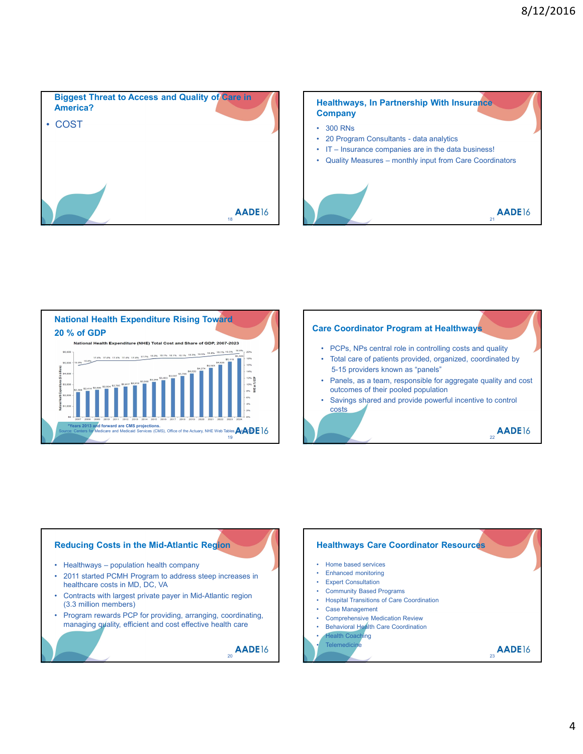

# Healthways, In Partnership With Insurance **Company** 8/12/2016<br> **Healthways, In Partnership With Insurance**<br> **Company**<br>
• 300 RNs<br>
• 20 Program Consultants - data analytics<br>
• IT – Insurance companies are in the data business!<br>
• Quality Measures – monthly input from Care Co

- 
- 
- 
- 









 $AADE16$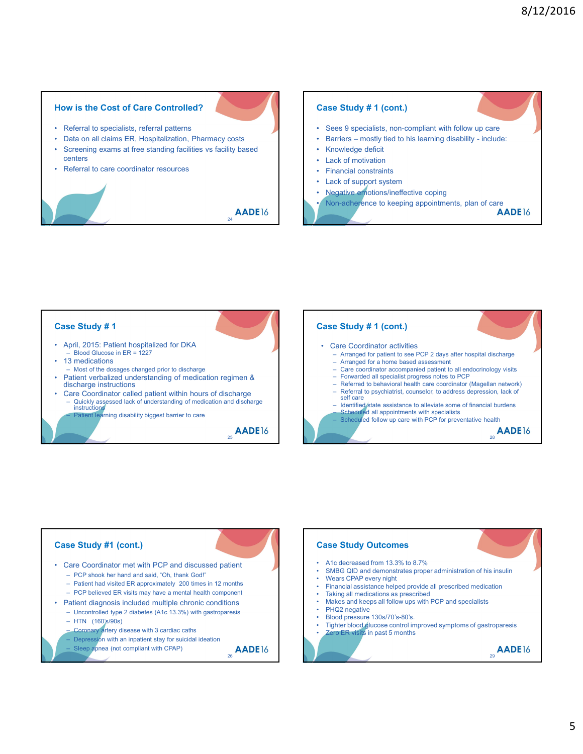#### How is the Cost of Care Controlled?

- 
- 
- centers
- 





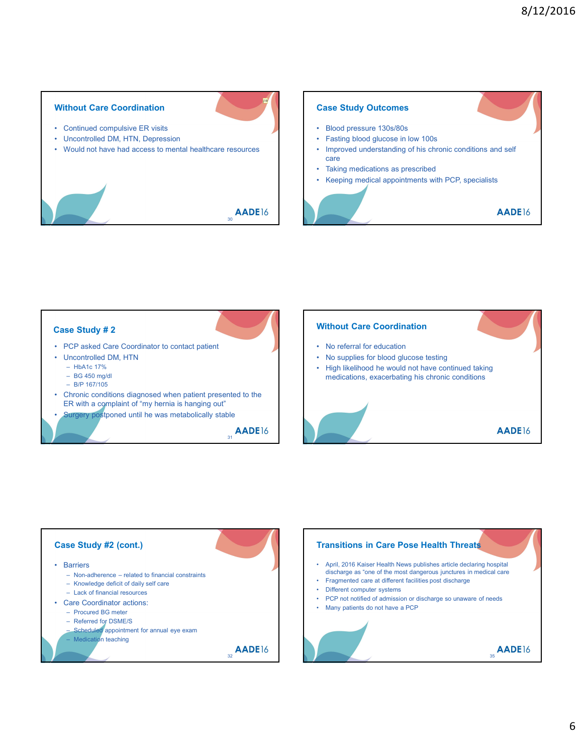#### Without Care Coordination

- 
- 
- Without Care Coordination<br>
 Continued compulsive ER visits<br>
 Uncontrolled DM, HTN, Depression<br>
 Would not have had access to mental healthcare resources<br>
 Taking medicat<br>
 Taking medicat<br>
 Taking medicat<br>
 Taking me Without Care Coordination<br>
• Continued compulsive ER visits<br>
• Uncontrolled DM, HTN, Depression<br>
• Would not have had access to mental healthcare resources<br>
• Taking medical<br>
• Taking medical<br>
• Taking medical<br>
• Taking me

#### Case Study Outcomes

- 
- 
- Without Care Coordination<br>
 Continued compulsive ER visits<br>
 Would not have had access to mental healthcare resources<br>
 Would not have had access to mental healthcare resources<br>
 Taking medications as pre-<br>
 Taking me 8/12/2016<br>
Case Study Outcomes<br>
• Blood pressure 130s/80s<br>
• Fasting blood glucose in low 100s<br>
• Improved understanding of his chronic conditions and self<br>
care<br>
• Taking medications as prescribed<br>
• Keeping medical appoi <sup>8</sup>/12/2016<br>
Case Study Outcomes<br>
• Blood pressure 130s/80s<br>
• Fasting blood glucose in low 100s<br>
• Traking medical appointments with PCP, specialists<br>
• Taking medical appointments with PCP, specialists  $\frac{8}{12}/2016$ <br>
Case Study Outcomes<br>
• Blood pressure 130s/80s<br>
• Fasting blood glucose in low 100s<br>
• Improved understanding of his chronic conditions and self<br>
care<br>
• Taking medications as prescribed<br>
• Keeping medical 8/12/2016<br>
Case Study Outcomes<br>
• Blood pressure 130s/80s<br>
• Fasting blood glucose in low 100s<br>
• Improved understanding of his chronic conditions and self<br>
• Taking medications as prescribed<br>
• Keeping medical appointment <sup>8</sup>/12/2016<br>
• Richard Putcomes<br>
• Richard pressure 130s/80s<br>
• Fasting blood glucose in low 100s<br>
• Improved understanding of his chronic conditions and self<br>
• Gering medical appointments with PCP, specialists<br> **AADE16**<br>
	-
	-



30 **AADE**16

j19

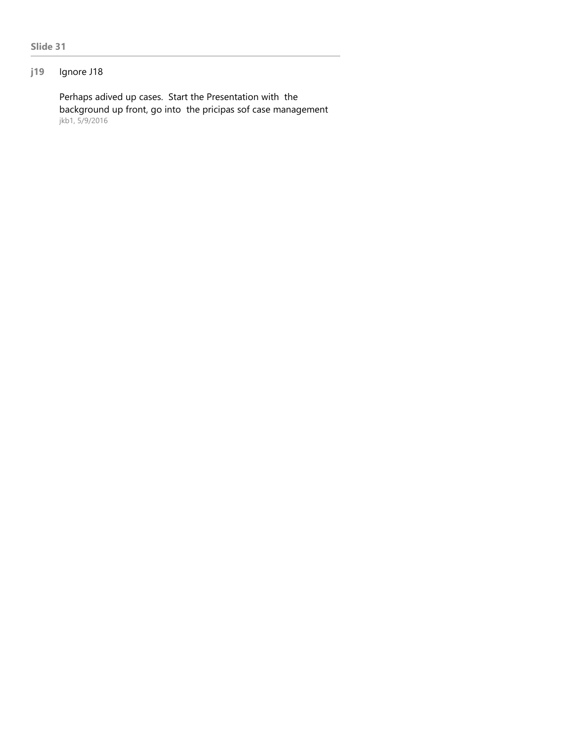# j19 Ignore J18

Perhaps adived up cases. Start the Presentation with the background up front, go into the pricipas sof case management jkb1, 5/9/2016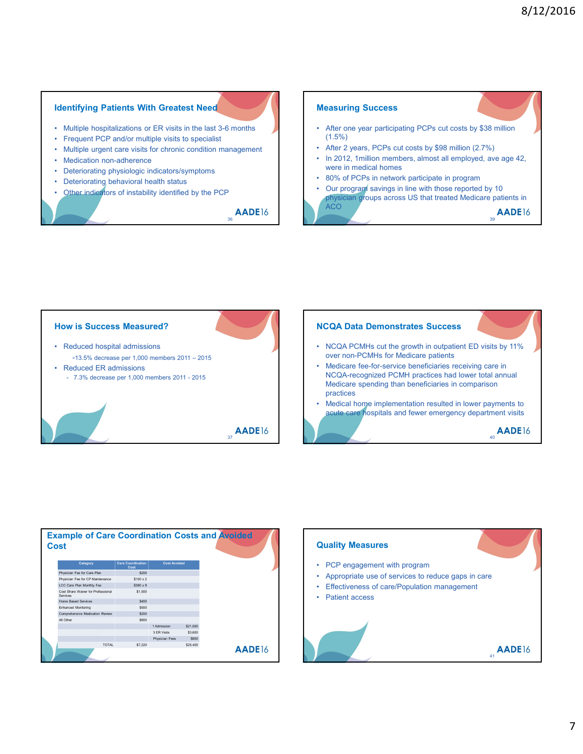#### Identifying Patients With Greatest Need

- 
- 
- 
- 
- 
- 
- 

36 **AADE**16





| Category                                       | <b>Care Coordination</b><br>Cost | <b>Cost Avoided</b> |          |               |
|------------------------------------------------|----------------------------------|---------------------|----------|---------------|
| Physician Fee for Care Plan                    | \$200                            |                     |          |               |
| Physician Fee for CP Maintenance               | $$100 \times 2$                  |                     |          |               |
| LCC Care Plan Monthly Fee                      | $$380 \times 9$                  |                     |          |               |
| Cost Share Waiver for Professional<br>Services | \$1,500                          |                     |          |               |
| Home Based Services                            | \$400                            |                     |          |               |
| Enhanced Monitoring                            | \$500                            |                     |          |               |
| Comprehensive Medication Review                | \$200                            |                     |          |               |
| All Other                                      | \$800                            |                     |          |               |
|                                                |                                  | 1 Admission         | \$21,000 |               |
|                                                |                                  | 3 ER Visits         | \$3,600  |               |
|                                                |                                  | Physician Fees      | \$800    |               |
| <b>TOTAL</b>                                   | \$7,220                          |                     | \$25,400 | <b>AADE16</b> |